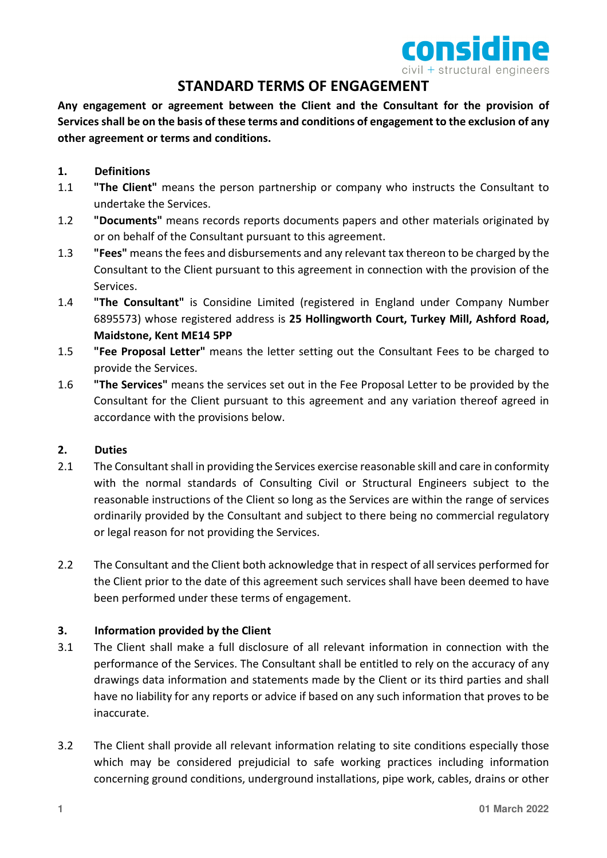

# **STANDARD TERMS OF ENGAGEMENT**

**Any engagement or agreement between the Client and the Consultant for the provision of Services shall be on the basis of these terms and conditions of engagement to the exclusion of any other agreement or terms and conditions.** 

# **1. Definitions**

- 1.1 **"The Client"** means the person partnership or company who instructs the Consultant to undertake the Services.
- 1.2 **"Documents"** means records reports documents papers and other materials originated by or on behalf of the Consultant pursuant to this agreement.
- 1.3 **"Fees"** means the fees and disbursements and any relevant tax thereon to be charged by the Consultant to the Client pursuant to this agreement in connection with the provision of the Services.
- 1.4 **"The Consultant"** is Considine Limited (registered in England under Company Number 6895573) whose registered address is **25 Hollingworth Court, Turkey Mill, Ashford Road, Maidstone, Kent ME14 5PP**
- 1.5 **"Fee Proposal Letter"** means the letter setting out the Consultant Fees to be charged to provide the Services.
- 1.6 **"The Services"** means the services set out in the Fee Proposal Letter to be provided by the Consultant for the Client pursuant to this agreement and any variation thereof agreed in accordance with the provisions below.

# **2. Duties**

- 2.1 The Consultant shall in providing the Services exercise reasonable skill and care in conformity with the normal standards of Consulting Civil or Structural Engineers subject to the reasonable instructions of the Client so long as the Services are within the range of services ordinarily provided by the Consultant and subject to there being no commercial regulatory or legal reason for not providing the Services.
- 2.2 The Consultant and the Client both acknowledge that in respect of all services performed for the Client prior to the date of this agreement such services shall have been deemed to have been performed under these terms of engagement.

# **3. Information provided by the Client**

- 3.1 The Client shall make a full disclosure of all relevant information in connection with the performance of the Services. The Consultant shall be entitled to rely on the accuracy of any drawings data information and statements made by the Client or its third parties and shall have no liability for any reports or advice if based on any such information that proves to be inaccurate.
- 3.2 The Client shall provide all relevant information relating to site conditions especially those which may be considered prejudicial to safe working practices including information concerning ground conditions, underground installations, pipe work, cables, drains or other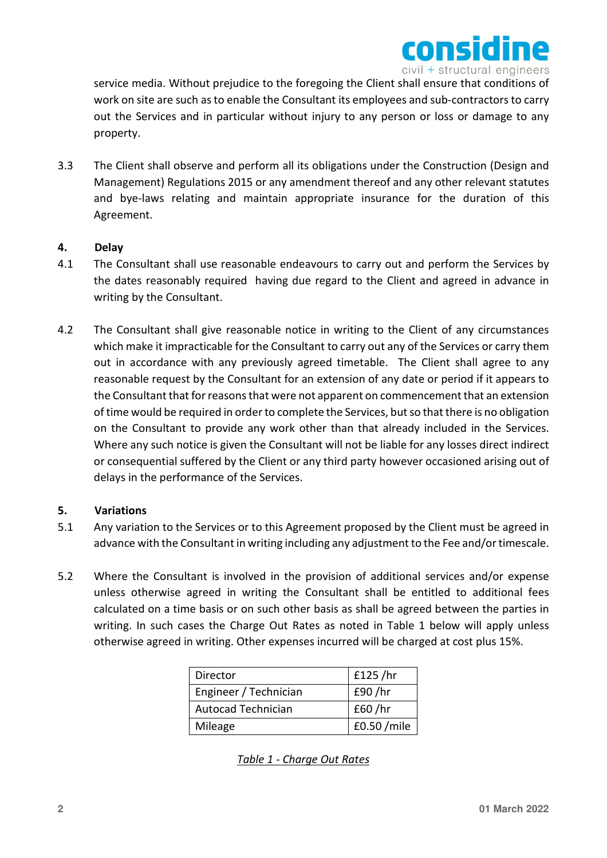

service media. Without prejudice to the foregoing the Client shall ensure that conditions of work on site are such as to enable the Consultant its employees and sub-contractors to carry out the Services and in particular without injury to any person or loss or damage to any property.

3.3 The Client shall observe and perform all its obligations under the Construction (Design and Management) Regulations 2015 or any amendment thereof and any other relevant statutes and bye-laws relating and maintain appropriate insurance for the duration of this Agreement.

# **4. Delay**

- 4.1 The Consultant shall use reasonable endeavours to carry out and perform the Services by the dates reasonably required having due regard to the Client and agreed in advance in writing by the Consultant.
- 4.2 The Consultant shall give reasonable notice in writing to the Client of any circumstances which make it impracticable for the Consultant to carry out any of the Services or carry them out in accordance with any previously agreed timetable. The Client shall agree to any reasonable request by the Consultant for an extension of any date or period if it appears to the Consultant that for reasons that were not apparent on commencement that an extension of time would be required in order to complete the Services, but so that there is no obligation on the Consultant to provide any work other than that already included in the Services. Where any such notice is given the Consultant will not be liable for any losses direct indirect or consequential suffered by the Client or any third party however occasioned arising out of delays in the performance of the Services.

# **5. Variations**

- 5.1 Any variation to the Services or to this Agreement proposed by the Client must be agreed in advance with the Consultant in writing including any adjustment to the Fee and/or timescale.
- 5.2 Where the Consultant is involved in the provision of additional services and/or expense unless otherwise agreed in writing the Consultant shall be entitled to additional fees calculated on a time basis or on such other basis as shall be agreed between the parties in writing. In such cases the Charge Out Rates as noted in Table 1 below will apply unless otherwise agreed in writing. Other expenses incurred will be charged at cost plus 15%.

| Director                  | £125 / hr   |
|---------------------------|-------------|
| Engineer / Technician     | £90/hr      |
| <b>Autocad Technician</b> | £60/hr      |
| Mileage                   | £0.50 /mile |

*Table 1 - Charge Out Rates*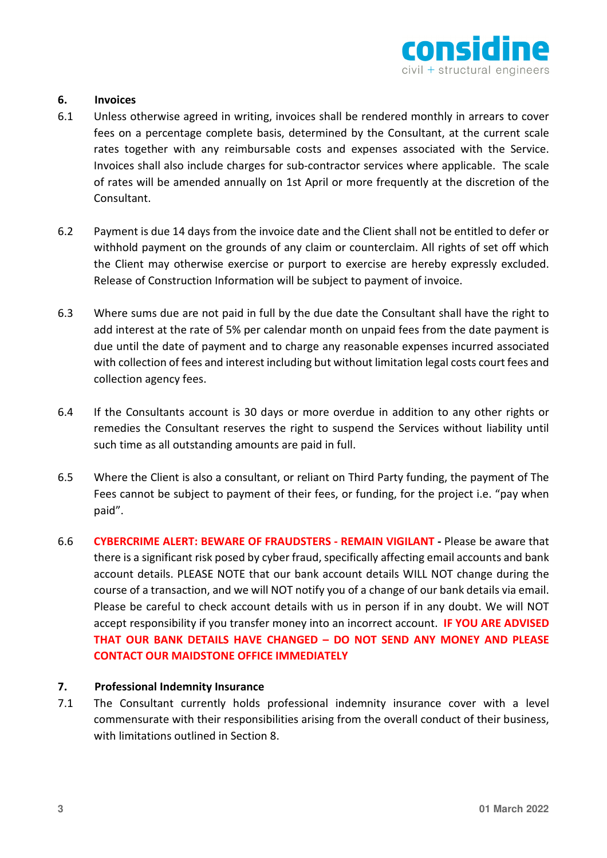

## **6. Invoices**

- 6.1 Unless otherwise agreed in writing, invoices shall be rendered monthly in arrears to cover fees on a percentage complete basis, determined by the Consultant, at the current scale rates together with any reimbursable costs and expenses associated with the Service. Invoices shall also include charges for sub-contractor services where applicable. The scale of rates will be amended annually on 1st April or more frequently at the discretion of the Consultant.
- 6.2 Payment is due 14 days from the invoice date and the Client shall not be entitled to defer or withhold payment on the grounds of any claim or counterclaim. All rights of set off which the Client may otherwise exercise or purport to exercise are hereby expressly excluded. Release of Construction Information will be subject to payment of invoice.
- 6.3 Where sums due are not paid in full by the due date the Consultant shall have the right to add interest at the rate of 5% per calendar month on unpaid fees from the date payment is due until the date of payment and to charge any reasonable expenses incurred associated with collection of fees and interest including but without limitation legal costs court fees and collection agency fees.
- 6.4 If the Consultants account is 30 days or more overdue in addition to any other rights or remedies the Consultant reserves the right to suspend the Services without liability until such time as all outstanding amounts are paid in full.
- 6.5 Where the Client is also a consultant, or reliant on Third Party funding, the payment of The Fees cannot be subject to payment of their fees, or funding, for the project i.e. "pay when paid".
- 6.6 **CYBERCRIME ALERT: BEWARE OF FRAUDSTERS REMAIN VIGILANT -** Please be aware that there is a significant risk posed by cyber fraud, specifically affecting email accounts and bank account details. PLEASE NOTE that our bank account details WILL NOT change during the course of a transaction, and we will NOT notify you of a change of our bank details via email. Please be careful to check account details with us in person if in any doubt. We will NOT accept responsibility if you transfer money into an incorrect account. **IF YOU ARE ADVISED THAT OUR BANK DETAILS HAVE CHANGED – DO NOT SEND ANY MONEY AND PLEASE CONTACT OUR MAIDSTONE OFFICE IMMEDIATELY**

### **7. Professional Indemnity Insurance**

7.1 The Consultant currently holds professional indemnity insurance cover with a level commensurate with their responsibilities arising from the overall conduct of their business, with limitations outlined in Section 8.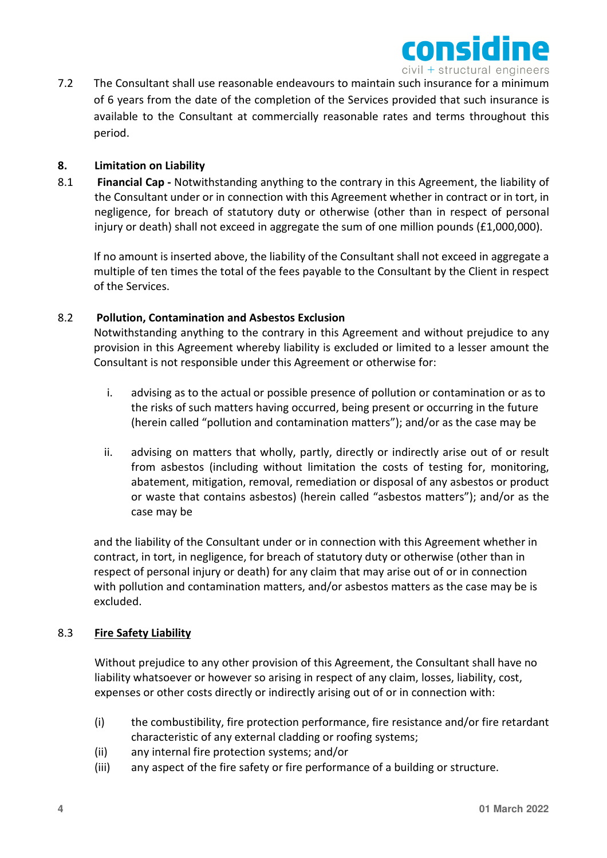

7.2 The Consultant shall use reasonable endeavours to maintain such insurance for a minimum of 6 years from the date of the completion of the Services provided that such insurance is available to the Consultant at commercially reasonable rates and terms throughout this period.

# **8. Limitation on Liability**

8.1 **Financial Cap -** Notwithstanding anything to the contrary in this Agreement, the liability of the Consultant under or in connection with this Agreement whether in contract or in tort, in negligence, for breach of statutory duty or otherwise (other than in respect of personal injury or death) shall not exceed in aggregate the sum of one million pounds (£1,000,000).

If no amount is inserted above, the liability of the Consultant shall not exceed in aggregate a multiple of ten times the total of the fees payable to the Consultant by the Client in respect of the Services.

### 8.2 **Pollution, Contamination and Asbestos Exclusion**

Notwithstanding anything to the contrary in this Agreement and without prejudice to any provision in this Agreement whereby liability is excluded or limited to a lesser amount the Consultant is not responsible under this Agreement or otherwise for:

- i. advising as to the actual or possible presence of pollution or contamination or as to the risks of such matters having occurred, being present or occurring in the future (herein called "pollution and contamination matters"); and/or as the case may be
- ii. advising on matters that wholly, partly, directly or indirectly arise out of or result from asbestos (including without limitation the costs of testing for, monitoring, abatement, mitigation, removal, remediation or disposal of any asbestos or product or waste that contains asbestos) (herein called "asbestos matters"); and/or as the case may be

and the liability of the Consultant under or in connection with this Agreement whether in contract, in tort, in negligence, for breach of statutory duty or otherwise (other than in respect of personal injury or death) for any claim that may arise out of or in connection with pollution and contamination matters, and/or asbestos matters as the case may be is excluded.

### 8.3 **Fire Safety Liability**

Without prejudice to any other provision of this Agreement, the Consultant shall have no liability whatsoever or however so arising in respect of any claim, losses, liability, cost, expenses or other costs directly or indirectly arising out of or in connection with:

- (i) the combustibility, fire protection performance, fire resistance and/or fire retardant characteristic of any external cladding or roofing systems;
- (ii) any internal fire protection systems; and/or
- (iii) any aspect of the fire safety or fire performance of a building or structure.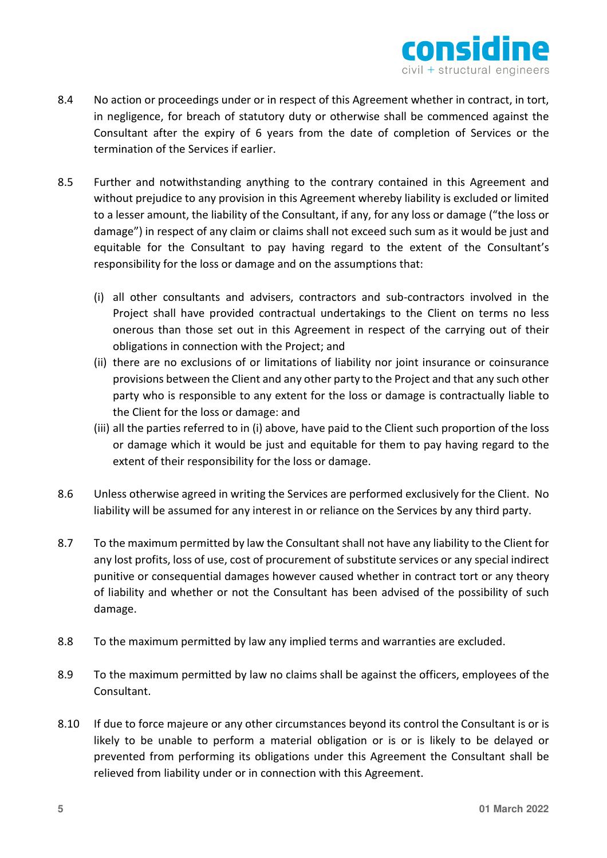

- 8.4 No action or proceedings under or in respect of this Agreement whether in contract, in tort, in negligence, for breach of statutory duty or otherwise shall be commenced against the Consultant after the expiry of 6 years from the date of completion of Services or the termination of the Services if earlier.
- 8.5 Further and notwithstanding anything to the contrary contained in this Agreement and without prejudice to any provision in this Agreement whereby liability is excluded or limited to a lesser amount, the liability of the Consultant, if any, for any loss or damage ("the loss or damage") in respect of any claim or claims shall not exceed such sum as it would be just and equitable for the Consultant to pay having regard to the extent of the Consultant's responsibility for the loss or damage and on the assumptions that:
	- (i) all other consultants and advisers, contractors and sub-contractors involved in the Project shall have provided contractual undertakings to the Client on terms no less onerous than those set out in this Agreement in respect of the carrying out of their obligations in connection with the Project; and
	- (ii) there are no exclusions of or limitations of liability nor joint insurance or coinsurance provisions between the Client and any other party to the Project and that any such other party who is responsible to any extent for the loss or damage is contractually liable to the Client for the loss or damage: and
	- (iii) all the parties referred to in (i) above, have paid to the Client such proportion of the loss or damage which it would be just and equitable for them to pay having regard to the extent of their responsibility for the loss or damage.
- 8.6 Unless otherwise agreed in writing the Services are performed exclusively for the Client. No liability will be assumed for any interest in or reliance on the Services by any third party.
- 8.7 To the maximum permitted by law the Consultant shall not have any liability to the Client for any lost profits, loss of use, cost of procurement of substitute services or any special indirect punitive or consequential damages however caused whether in contract tort or any theory of liability and whether or not the Consultant has been advised of the possibility of such damage.
- 8.8 To the maximum permitted by law any implied terms and warranties are excluded.
- 8.9 To the maximum permitted by law no claims shall be against the officers, employees of the Consultant.
- 8.10 If due to force majeure or any other circumstances beyond its control the Consultant is or is likely to be unable to perform a material obligation or is or is likely to be delayed or prevented from performing its obligations under this Agreement the Consultant shall be relieved from liability under or in connection with this Agreement.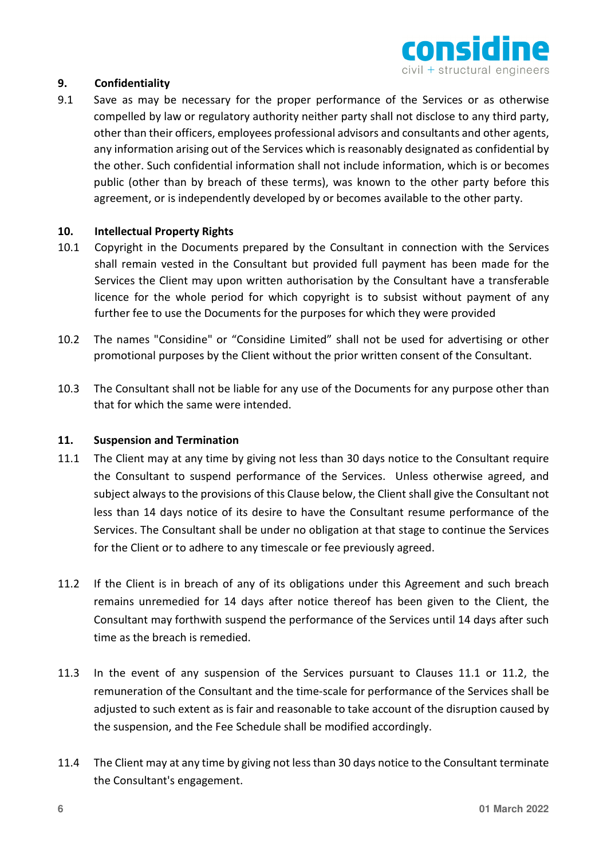

# **9. Confidentiality**

9.1 Save as may be necessary for the proper performance of the Services or as otherwise compelled by law or regulatory authority neither party shall not disclose to any third party, other than their officers, employees professional advisors and consultants and other agents, any information arising out of the Services which is reasonably designated as confidential by the other. Such confidential information shall not include information, which is or becomes public (other than by breach of these terms), was known to the other party before this agreement, or is independently developed by or becomes available to the other party.

### **10. Intellectual Property Rights**

- 10.1 Copyright in the Documents prepared by the Consultant in connection with the Services shall remain vested in the Consultant but provided full payment has been made for the Services the Client may upon written authorisation by the Consultant have a transferable licence for the whole period for which copyright is to subsist without payment of any further fee to use the Documents for the purposes for which they were provided
- 10.2 The names "Considine" or "Considine Limited" shall not be used for advertising or other promotional purposes by the Client without the prior written consent of the Consultant.
- 10.3 The Consultant shall not be liable for any use of the Documents for any purpose other than that for which the same were intended.

### **11. Suspension and Termination**

- 11.1 The Client may at any time by giving not less than 30 days notice to the Consultant require the Consultant to suspend performance of the Services. Unless otherwise agreed, and subject always to the provisions of this Clause below, the Client shall give the Consultant not less than 14 days notice of its desire to have the Consultant resume performance of the Services. The Consultant shall be under no obligation at that stage to continue the Services for the Client or to adhere to any timescale or fee previously agreed.
- 11.2 If the Client is in breach of any of its obligations under this Agreement and such breach remains unremedied for 14 days after notice thereof has been given to the Client, the Consultant may forthwith suspend the performance of the Services until 14 days after such time as the breach is remedied.
- 11.3 In the event of any suspension of the Services pursuant to Clauses 11.1 or 11.2, the remuneration of the Consultant and the time-scale for performance of the Services shall be adjusted to such extent as is fair and reasonable to take account of the disruption caused by the suspension, and the Fee Schedule shall be modified accordingly.
- 11.4 The Client may at any time by giving not less than 30 days notice to the Consultant terminate the Consultant's engagement.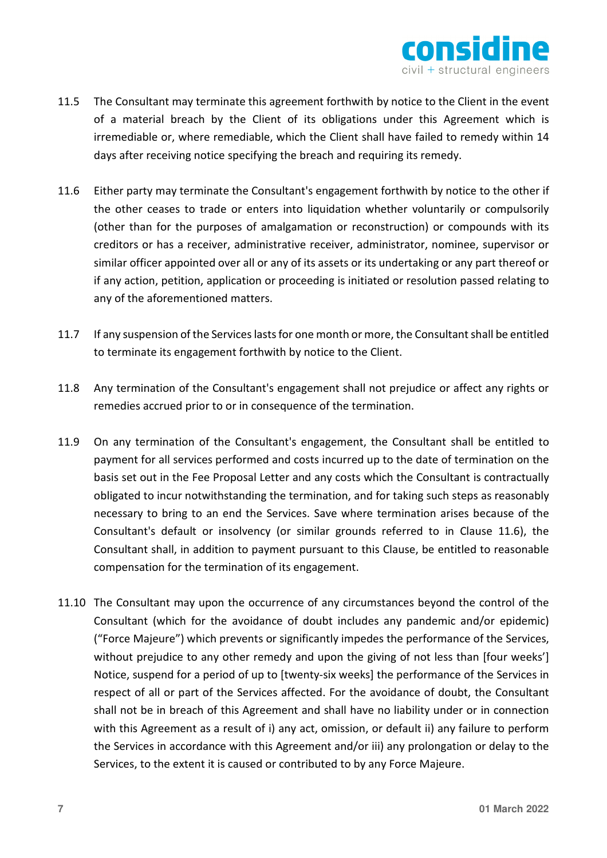

- 11.5 The Consultant may terminate this agreement forthwith by notice to the Client in the event of a material breach by the Client of its obligations under this Agreement which is irremediable or, where remediable, which the Client shall have failed to remedy within 14 days after receiving notice specifying the breach and requiring its remedy.
- 11.6 Either party may terminate the Consultant's engagement forthwith by notice to the other if the other ceases to trade or enters into liquidation whether voluntarily or compulsorily (other than for the purposes of amalgamation or reconstruction) or compounds with its creditors or has a receiver, administrative receiver, administrator, nominee, supervisor or similar officer appointed over all or any of its assets or its undertaking or any part thereof or if any action, petition, application or proceeding is initiated or resolution passed relating to any of the aforementioned matters.
- 11.7 If any suspension of the Services lasts for one month or more, the Consultant shall be entitled to terminate its engagement forthwith by notice to the Client.
- 11.8 Any termination of the Consultant's engagement shall not prejudice or affect any rights or remedies accrued prior to or in consequence of the termination.
- 11.9 On any termination of the Consultant's engagement, the Consultant shall be entitled to payment for all services performed and costs incurred up to the date of termination on the basis set out in the Fee Proposal Letter and any costs which the Consultant is contractually obligated to incur notwithstanding the termination, and for taking such steps as reasonably necessary to bring to an end the Services. Save where termination arises because of the Consultant's default or insolvency (or similar grounds referred to in Clause 11.6), the Consultant shall, in addition to payment pursuant to this Clause, be entitled to reasonable compensation for the termination of its engagement.
- 11.10 The Consultant may upon the occurrence of any circumstances beyond the control of the Consultant (which for the avoidance of doubt includes any pandemic and/or epidemic) ("Force Majeure") which prevents or significantly impedes the performance of the Services, without prejudice to any other remedy and upon the giving of not less than [four weeks'] Notice, suspend for a period of up to [twenty-six weeks] the performance of the Services in respect of all or part of the Services affected. For the avoidance of doubt, the Consultant shall not be in breach of this Agreement and shall have no liability under or in connection with this Agreement as a result of i) any act, omission, or default ii) any failure to perform the Services in accordance with this Agreement and/or iii) any prolongation or delay to the Services, to the extent it is caused or contributed to by any Force Majeure.